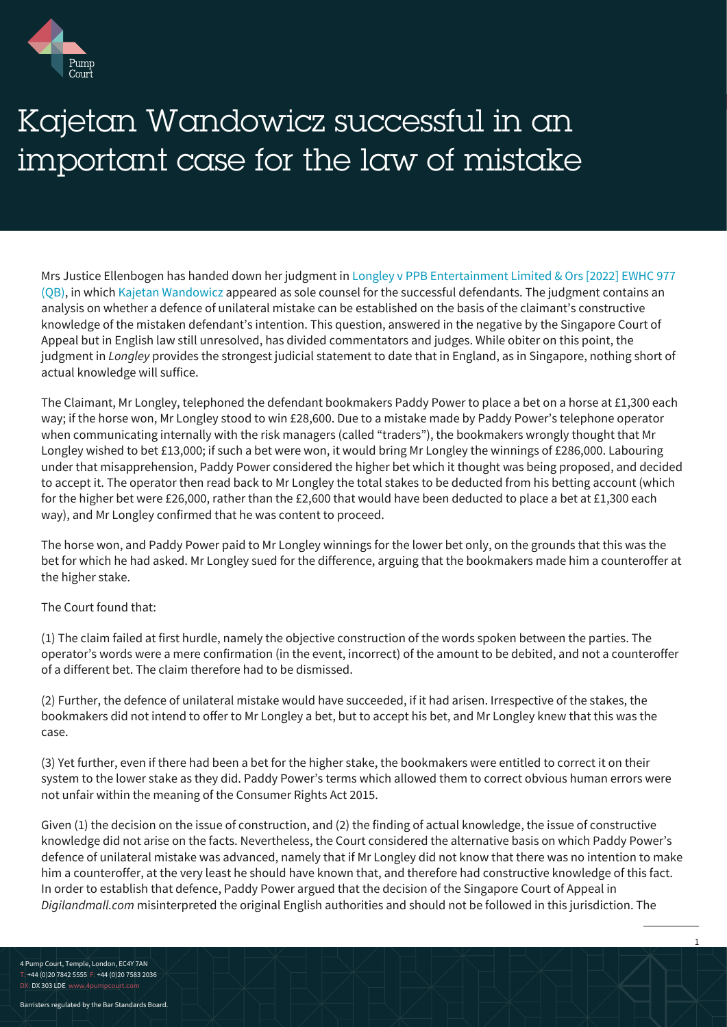

## Kajetan Wandowicz successful in an important case for the law of mistake

Mrs Justice Ellenbogen has handed down her judgment in [Longley v PPB Entertainment Limited & Ors \[2022\] EWHC 977](https://www.bailii.org/ew/cases/EWHC/QB/2022/977.html) [\(QB\)](https://www.bailii.org/ew/cases/EWHC/QB/2022/977.html), in which [Kajetan Wandowicz](https://www.4pumpcourt.com/barrister/kajetan-wandowicz/) appeared as sole counsel for the successful defendants. The judgment contains an analysis on whether a defence of unilateral mistake can be established on the basis of the claimant's constructive knowledge of the mistaken defendant's intention. This question, answered in the negative by the Singapore Court of Appeal but in English law still unresolved, has divided commentators and judges. While obiter on this point, the judgment in *Longley* provides the strongest judicial statement to date that in England, as in Singapore, nothing short of actual knowledge will suffice.

The Claimant, Mr Longley, telephoned the defendant bookmakers Paddy Power to place a bet on a horse at £1,300 each way; if the horse won, Mr Longley stood to win £28,600. Due to a mistake made by Paddy Power's telephone operator when communicating internally with the risk managers (called "traders"), the bookmakers wrongly thought that Mr Longley wished to bet £13,000; if such a bet were won, it would bring Mr Longley the winnings of £286,000. Labouring under that misapprehension, Paddy Power considered the higher bet which it thought was being proposed, and decided to accept it. The operator then read back to Mr Longley the total stakes to be deducted from his betting account (which for the higher bet were £26,000, rather than the £2,600 that would have been deducted to place a bet at £1,300 each way), and Mr Longley confirmed that he was content to proceed.

The horse won, and Paddy Power paid to Mr Longley winnings for the lower bet only, on the grounds that this was the bet for which he had asked. Mr Longley sued for the difference, arguing that the bookmakers made him a counteroffer at the higher stake.

## The Court found that:

(1) The claim failed at first hurdle, namely the objective construction of the words spoken between the parties. The operator's words were a mere confirmation (in the event, incorrect) of the amount to be debited, and not a counteroffer of a different bet. The claim therefore had to be dismissed.

(2) Further, the defence of unilateral mistake would have succeeded, if it had arisen. Irrespective of the stakes, the bookmakers did not intend to offer to Mr Longley a bet, but to accept his bet, and Mr Longley knew that this was the case.

(3) Yet further, even if there had been a bet for the higher stake, the bookmakers were entitled to correct it on their system to the lower stake as they did. Paddy Power's terms which allowed them to correct obvious human errors were not unfair within the meaning of the Consumer Rights Act 2015.

Given (1) the decision on the issue of construction, and (2) the finding of actual knowledge, the issue of constructive knowledge did not arise on the facts. Nevertheless, the Court considered the alternative basis on which Paddy Power's defence of unilateral mistake was advanced, namely that if Mr Longley did not know that there was no intention to make him a counteroffer, at the very least he should have known that, and therefore had constructive knowledge of this fact. In order to establish that defence, Paddy Power argued that the decision of the Singapore Court of Appeal in *Digilandmall.com* misinterpreted the original English authorities and should not be followed in this jurisdiction. The

1